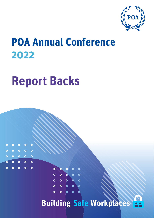

# **POA Annual Conference 2022**

# **Report Backs**

 $\bullet$ 

 $\bullet$ 

 $\begin{array}{ccc} & \circ & \circ & \circ & \circ \end{array}$ 

 $\circ$   $\circ$   $\circ$ 

 $\circ$   $\circ$   $\circ$ 

 $\circ$   $\circ$   $\circ$   $\circ$ 

 $\ddot{\bullet}$ 

 $\bullet$ 

 $\ddot{\bullet}$ 

 $\bullet$ 



**Building Safe Workplaces 28**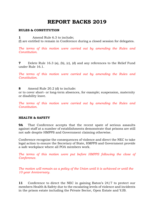# **REPORT BACKS 2019**

# **RULES & CONSTITUTION**

**1** Amend Rule 6.3 to include;

(f) are entitled to remain in Conference during a closed session for delegates.

*The terms of this motion were carried out by amending the Rules and Constitution.*

**7** Delete Rule 16.3 (a), (b), (c), (d) and any references to the Relief Fund under Rule 16.1.

*The terms of this motion were carried out by amending the Rules and Constitution.*

**8** Amend Rule 20.2 (d) to include:

or to cover short- or long-term absences, for example; suspension, maternity or disability leave.

*The terms of this motion were carried out by amending the Rules and Constitution.*

# **HEALTH & SAFETY**

**9A** That Conference accepts that the recent spate of serious assaults against staff at a number of establishments demonstrate that prisons are still not safe despite HMPPS and Government claiming otherwise.

Conference recognise the consequences of violence and direct the NEC to take legal action to ensure the Secretary of State, HMPPS and Government provide a safe workplace where all POA members work.

*The terms of this motion were put before HMPPS following the close of Conference.*

*The motion will remain as a policy of the Union until it is achieved or until the 10 year Anniversary.* 

**11** Conference to direct the NEC in gaining Baton's 24/7 to protect our members Health & Safety due to the escalating levels of violence and incidents in the prison estate including the Private Sector, Open Estate and YJB.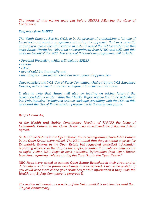*The terms of this motion were put before HMPPS following the close of Conference.*

*Response from HMPPS;*

*The Youth Custody Service (YCS) is in the process of undertaking a full use of force/restraint revision programme mirroring the approach that was recently undertaken across the adult estate. In order to assist the YCS to undertake this work Stuart Hardy has joined us on secondment from NTRG and will lead this work on behalf of the YCS. The scope of this revision programme will include:*

- *Personal Protection, which will include SPEAR*
- *Batons*
- *PAVA*
- *use of rigid bar handcuffs and*
- *the interface with wider behaviour management approaches*

*Once complete the YCS Use of Force Committee, chaired by the YCS Executive Director, will comment and discuss before a final decision is made.*

*It also to note that Stuart will also be leading on taking forward the recommendations made within the Charlie Taylor review (yet to be published) into Pain Inducing Techniques and we envisage consulting with the POA on this work and the Use of Force revision programme in the very near future.*

# *9/3/21 Dear All,*

*At the Health and Safety Consultative Meeting of 7/9/20 the issue of Extendable Batons in the Open Estate was raised and the following Action agreed.*

*"Extendable Batons in the Open Estate. Concerns regarding Extendable Batons in the Open Estate were raised. The NEC stated that they continue to press for Extendable Batons in the Open Estate but requested statistical information regarding violence in the day as the employer states that violence only occurs at night. Action NEC Reps to seek statistical information from Open Estate branches regarding violence during the Core Day in the Open Estate."*

*NEC Reps were asked to contact Open Estate Branches in their Area and to date only one Branch (North Sea Camp) has responded. I would be grateful if you could once more chase your Branches for this information if they wish the Health and Safety Committee to progress it.*

*The motion will remain as a policy of the Union until it is achieved or until the 10 year Anniversary.*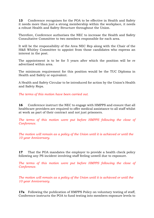**13** Conference recognises for the POA to be effective in Health and Safety it needs more than just a strong membership within the workplace, it needs a robust Health and Safety Structure throughout the Union.

Therefore, Conference authorises the NEC to increase the Health and Safety Consultative Committee to two members responsible for each area.

It will be the responsibility of the Area NEC Rep along with the Chair of the H&S Whitley Committee to appoint from those candidates who express an interest in the post.

The appointment is to be for 5 years after which the position will be re advertised within area.

The minimum requirement for this position would be the TUC Diploma in Health and Safety or equivalent.

A Health and Safety Circular to be introduced for action by the Union's Health and Safety Reps.

*The terms of this motion have been carried out.*

**16** Conference instruct the NEC to engage with HMPPS and ensure that all healthcare providers are required to offer medical assistance to all staff whilst at work as part of their contract and not just prisoners.

*The terms of this motion were put before HMPPS following the close of Conference.*

*The motion will remain as a policy of the Union until it is achieved or until the 10 year Anniversary.* 

**17** That the POA mandates the employer to provide a health check policy following any PS incident involving staff feeling unwell due to exposure.

*The terms of this motion were put before HMPPS following the close of Conference.*

*The motion will remain as a policy of the Union until it is achieved or until the 10 year Anniversary.* 

**17a** Following the publication of HMPPS Policy on voluntary testing of staff, Conference instructs the POA to fund testing into members exposure levels to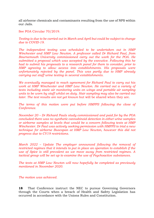all airborne chemicals and contaminants resulting from the use of NPS within our Jails.

See POA Circular 70/2019.

*Testing is due to be carried out in March and April but could be subject to change due to COVID-19.*

*The independent testing was scheduled to be undertaken out in HMP Winchester and HMP Low Newton. A professor called Dr Richard Paul, from Bournemouth University commissioned carry out the work for the POA. He submitted a proposal which was accepted by the executive. Following this he had to submit his proposals to a research panel for them to consider, prior to HMP agreeing to allow access into establishments. His proposals were unfortunately rejected by the panel. This was partly due to HMP already carrying out staff urine testing in several establishments.*

*We eventually managed to reach agreement for Richard Paul to carry out his work at HMP Winchester and HMP Low Newton. He carried out a variety of tests including static air monitoring units on wings and portable air sampling units to be worn by staff whilst on duty. Hair sampling may also be carried out later. The test results are not yet known* but will be shared when they are.

*The terms of this motion were put before HMPPS following the close of Conference.*

*November 20 – Dr Richard Pauls study commissioned and paid for by the POA concluded there was no synthetic cannabinoid detection in either urine samples or airborne samples at levels that would be a concern following tests at HMP Winchester. Dr Paul was actively seeking permission with HMPPS to trial a new technique for airborne Buscopan at HMP Low Newton, however this did not progress due to CV19 restrictions.*

*March 2022 – Update The employer announced following the removal of restricted regimes that it intends to put in place an operation to establish if the use of Spice is still prevalent as we move away from restricted regimes. A tactical group will be set up to examine the use of Psychoactive substances.*

*The tests at HMP Low Newton will now hopefully be completed as previously mentioned in November 2020.*

*The motion was achieved.* 

**18** That Conference instruct the NEC to pursue Governing Governors through the Courts when a breach of Health and Safety Legislation has occurred in accordance with the Unions Rules and Constitution.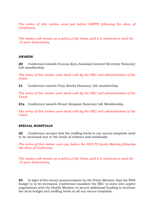*The terms of this motion were put before HMPPS following the close of Conference.*

*The motion will remain as a policy of the Union until it is achieved or until the 10 year Anniversary.* 

# **AWARDS**

**20** Conference awards Duncan Keys Assistant General Secretary Honorary Life membership.

*The terms of this motion were dealt with by the NEC and administration of the Union.*

**21** Conference awards Tony Stocks Honorary Life membership.

*The terms of this motion were dealt with by the NEC and administration of the Union.*

**21a** Conference awards Stuart Simpson Honorary Life Membership.

*The terms of this motion were dealt with by the NEC and administration of the Union.*

# **SPECIAL HOSPITALS**

**22** Conference accepts that the staffing levels in our secure hospitals need to be increased due to the levels of violence and workloads.

*The terms of this motion were put before the NHS TU Leads Meeting following the close of Conference.*

*The motion will remain as a policy of the Union until it is achieved or until the 10 year Anniversary.* 

**23** In light of the recent announcement by the Prime Minister that the NHS budget is to be increased, Conference mandate the NEC to enter into urgent negotiations with the Health Minister to secure additional funding to increase the local budget and staffing levels in all our secure hospitals.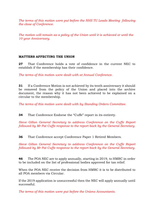*The terms of this motion were put before the NHS TU Leads Meeting following the close of Conference.*

*The motion will remain as a policy of the Union until it is achieved or until the 10 year Anniversary.* 

# **MATTERS AFFECTING THE UNION**

**27** That Conference holds a vote of confidence in the current NEC to establish if the membership has their confidence.

*The terms of this motion were dealt with at Annual Conference.*

**31** If a Conference Motion is not achieved by its tenth anniversary it should be removed from the policy of the Union and placed into the archive document, the reason why it has not been achieved to be explained on a circular to the membership.

*The terms of this motion were dealt with by Standing Orders Committee.* 

**34** That Conference Endorse the "Cuffe" report in its entirety.

*Steve Gillan General Secretary to address Conference on the Cuffe Report followed by Mr Pat Cuffe response to the report back by the General Secretary.*

**36** That Conference accept Conference Paper 1 Retired Members.

*Steve Gillan General Secretary to address Conference on the Cuffe Report followed by Mr Pat Cuffe response to the report back by the General Secretary.*

**46** The POA NEC are to apply annually, starting in 2019, to HMRC in order to be included on the list of professional bodies approved for tax relief.

When the POA NEC receive the decision from HMRC it is to be distributed to all POA members via Circular.

If the 2019 application is unsuccessful then the NEC will apply annually until successful.

*The terms of this motion were put before the Unions Accountants.*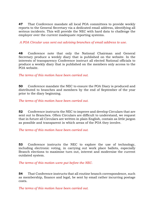**47** That Conference mandate all local POA committees to provide weekly reports to the General Secretary via a dedicated email address, identifying all serious incidents. This will provide the NEC with hard data to challenge the employer over the current inadequate reporting systems.

*A POA Circular was sent out advising branches of email address to use.*

**48** Conference note that only the National Chairman and General Secretary produce a weekly diary that is published on the website. In the interests of transparency Conference instruct all elected National officials to produce a weekly diary that is published on the members only access to the POA website.

*The terms of this motion have been carried out.*

**50** Conference mandate the NEC to ensure the POA Diary is produced and distributed to branches and members by the end of September of the year prior to the diary beginning.

*The terms of this motion have been carried out.*

**52** Conference instructs the NEC to improve and develop Circulars that are sent out to Branches. Often Circulars are difficult to understand, we request that in future all Circulars are written in plain English, contain as little jargon as possible and transparent in which areas of the POA they involve.

*The terms of this motion have been carried out.*

**53** Conference instructs the NEC to explore the use of technology, including electronic voting, in carrying out work place ballots, especially Branch elections to maximise turn out, interest and modernise the current outdated system.

*The terms of this motion were put before the NEC.*

**54** That Conference instructs that all routine branch correspondence, such as membership, finance and legal, be sent by email rather incurring postage costs.

*The terms of this motion have been carried out.*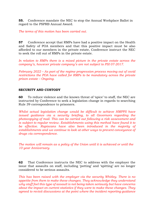**55.** Conference mandate the NEC to stop the Annual Workplace Ballot in regard to the PSPRB Annual Award.

*The terms of this motion has been carried out.*

**57** Conference accept that RMPs have had a positive impact on the Health and Safety of POA members and that this positive impact must be also afforded to our members in the private estate, Conference instruct the NEC to seek the roll out of RMPs in the private estate.

*In relation to RMPs there is a mixed picture in the private estate across the company's, however private company's are not subject to PSI 07-2017.*

*February 2022 – As part of the regime progression process moving out of covid restrictions the POA have called for RMPs to be mandatory across the private prison estate – Ongoing.*

### **SECURITY AND CUSTODY**

**60** To reduce violence and the known threat of 'spice' to staff, the NEC are instructed by Conference to seek a legislation change in regards to searching Rule 39 correspondence to prisoners.

*Whilst actual legislation change would be difficult to achieve HMPPS have issued guidance via a security briefing, to all Governors regarding the photocopying of mail. This can be carried out following a risk assessment and is subject to regular review. Establishments using this method have found it to be effective. Rapiscans have also been introduced in the majority of establishments and we continue to look at other ways to prevent conveyance of drugs via correspondence.*

*The motion will remain as a policy of the Union until it is achieved or until the 10 year Anniversary.* 

**62** That Conference instructs the NEC to address with the employer the issue that assaults on staff, including 'potting' and 'spitting' are no longer considered to be serious assaults.

*This has been raised with the employer via the security Whitley. There is no appetite from them to make these changes. They acknowledge they understand why staff feel this type of assault is not being taken seriously but have concerns about the impact on current statistics if they were to make these changes. They agreed to revisit discussions at the point where the incident reporting guidance*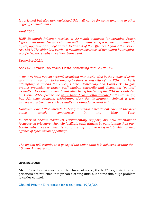*is reviewed but also acknowledged this will not be for some time due to other ongoing commitments.*

*April 2020.*

*HMP Belmarsh Prisoner receives a 20-month sentence for spraying Prison Officer with urine. He was charged with 'administering a poison with intent to injure, aggrieve or annoy' under Section 24 of the Offences Against the Person Act 1861. The older law carries a maximum sentence of two years but requires proof a 'noxious substance' has been used.*

*December 2021.*

*See POA Circular 105 Police, Crime, Sentencing and Courts Bill.*

*"The POA have met on several occasions with Earl Attlee in the House of Lords who has turned out to be amongst others a key ally of the POA and he is attempting to amend the Police, Crime, Sentencing and Courts Bill to give greater protection to prison staff against cowardly and disgusting "potting" assaults. His original amendment after being briefed by the POA was debated in October 2021 (please see [www.tinyurl.com/pottingdebate](http://www.tinyurl.com/pottingdebate) for the transcript) but this was tactically withdrawn after the Government claimed it was unnecessary because such assaults are already covered in law.*

*However, Earl Attlee intends to bring a similar amendment back at the next stage, which commences in the New Year.* 

*In order to secure maximum Parliamentary support, his new amendment focusses on prisoners who help facilitate such attacks by contributing their own bodily substances – which is not currently a crime – by establishing a new offence of "facilitation of potting".*

*The motion will remain as a policy of the Union until it is achieved or until the 10 year Anniversary.* 

### **OPERATIONS**

**64** To reduce violence and the threat of spice, the NEC negotiate that all prisoners are returned into prison clothing until such time this huge problem is under control.

Chased Prisons Directorate for a response 19/2/20.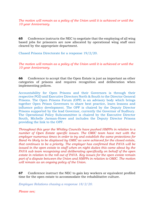*The motion will remain as a policy of the Union until it is achieved or until the 10 year Anniversary.* 

**65** Conference instructs the NEC to negotiate that the employing of all wing based jobs for prisoners are now allocated by operational wing staff once cleared by the appropriate department.

Chased Prisons Directorate for a response 19/2/20.

*The motion will remain as a policy of the Union until it is achieved or until the 10 year Anniversary.* 

**66** Conference to accept that the Open Estate is just as important as other categories of prisons and requires recognition and deliberation when implementing polices.

Accountability for Open Prisons and their Governors is through their respective PGD and Executive Directors North & South to the Director General Prisons. The Open Prisons Forum (OPF) is an advisory body which brings together Open Prison Governors to share best practice, learn lessons and influence policy development. The OPF is chaired by the Deputy Director Prisons supported by the lead Governor, currently the Governor of Sudbury. The Operational Policy Subcommittee is chaired by the Executive Director South, Michelle Jarman-Howe and includes the Deputy Director Prisons providing the link to the OPF.

*Throughout this year the Whitley Councils have pushed HMPPs in relation to a number of Open Estate specific issues. The OMIC team have met with the employer numerous times in order to try and establish the same protections for Band 4s likely to be displaced by OMIC as were achieved for the closed estate, that continues to be a priority. The employer has confirmed that PAVA will be issued in the open estate to staff when on night duties this came about by the PAVA sub team recognising and deliberating specifically on behalf of the open estate in relation to the roll out of PAVA. Key issues for the open estate remain part of a dispute between the Union and HMPPs in relation to OMIC. The motion will remain as an ongoing policy of the Union.*

**67** Conference instruct the NEC to gain key workers or equivalent profiled time for the open estate to accommodate the rehabilitative culture.

*Employee Relations chasing a response 18/2/20.*

*Please see;*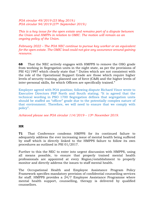*POA circular 49/2019 (23 May 2019.) POA circular 94/2019 (27th September 2019.)*

*This is a key issue for the open estate and remains part of a dispute between the Union and HMPPs in relation to OMIC. The motion will remain as an ongoing policy of the Union.*

*February 2022 – The POA NEC continue to pursue key worker or an equivalent for the open estate. The OMIC lead could not give any assurance around gaining resource.*

**68** That the NEC actively engages with HMPPS to remove the OSG grade from working in Segregation units in the night state, as per the provisions of PSI 42/1997 which clearly state that " Duties which are not consistent with the role of the Operational Support Grade are those which require higher levels of security training, planned use of force (C&R) and the higher levels of inter-personal skills, for which Officers are specifically trained."

Employer agreed with POA position; following dispute Richard Vince wrote to Executive Directors PSP North and South stating; "It is agreed that the technical wording in PSO 1700 Segregation defines that segregation units should be staffed an "officer" grade due to the potentially complex nature of that environment. Therefore, we will need to ensure that we comply with policy".

*Achieved please see POA circular 114/2019 – 13th November 2019.*

# **HR**

**71** That Conference condemn HMPPS for its continued failure to adequately address the ever increasing issue of mental health being suffered by staff which is directly linked to the HMPPS failure to follow its own procedures as outlined in PSI 01/2017.

Further to this the NEC to enter into urgent discussion with HMPPS, using all means possible, to ensure that properly trained mental health professionals are appointed at every Region/establishment to properly monitor and directly address the issues to staff mental health.

The Occupational Health and Employee Assistance Program Policy Framework specifies mandatory provision of confidential counselling services for staff. HMPPS provides a 24/7 Employee Assistance Programme where mental health support, counselling, therapy is delivered by qualified counsellors.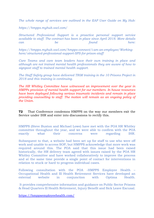*The whole range of services are outlined in the EAP User Guide on My Hub:* 

*https://hmpps.myhub.sscl.com/*

*Structured Professional Support is a proactive personal support service available to staff. The contract has been in place since April 2018. More details can be found here:* 

*https://hmpps.myhub.sscl.com/hmpps-connect/i-am-an-employee/Workinghere/structured-professional-support-SPS-for-prison-staff*

*Care Teams and care team leaders have their own training in place and although are not trained mental health professionals they are aware of how to signpost staff to trained mental health support.*

*The Staff Safety group have delivered TRiM training in the 10 Prisons Project in 2018 and this training is continuing.*

*The HR Whitley Committee have witnessed an improvement over the year in HMPPs provision of mental health support for our members. In house resources have been deployed following serious traumatic incidents and remain in place providing counselling to staff. The motion will remain as an ongoing policy of the Union.*

**72** That Conference condemns HMPPS on the way our members exit the Service under IHR and enter into discussions to rectify this.

HMPPS (Steve Buxton and Michael Lowe) have met with the POA HR Whitley committee throughout the year, and we were able to confirm with the POA exactly what their concerns were regarding IHR.

Subsequent to that, a website had been set up for staff to use who were off work and unable to access SOP, but HMPPS acknowledge that more work was required around this. The POA said that this issue had been raised historically, the HR delivery team agreed with issues raised by the POA HR Whitley Committee and have worked collaboratively to improve the process and at the same time provide a single point of contact for interventions in relation to stuck or hard to progress individual cases.

Following consultation with the POA -HMPPS Employee Health – Occupational Health and Ill Health Retirement Services have developed an external website in conjunction with Optima Health.

It provides comprehensive information and guidance on Public Sector Prisons & Head Quarters Ill Health Retirement, Injury Benefit and Sick Leave Excusal.

<https://hmppsemployeehealth.com/>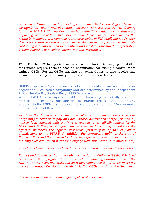*Achieved – Through regular meetings with the HMPPS Employee Health – Occupational Health and Ill Health Retirement Services and the HR delivery team the POA HR Whitley Committee have identified critical issues that were impacting on individual members, identified common problems across the estate in relation to the completion and processing of IHR applications. Positive discussions and meetings have led to the creation of a single web site containing vital information for members and most importantly that information is now available to members away from the workplace.*

**73** For the NEC to negotiate an extra payment for OSGs carrying out skilled task which require them to pass an examination for example control room trained OSGs. For all OSGs carrying out extra duties to also receive this payment including care team, youth justice foundation degree etc.

HMPPs response - Pay and allowances for operational staff are not matters for negotiation / collective bargaining and are determined by the independent Prison Service Pay Review Body (PSPRB) process.

While HMPPS is always amenable to discussing potentially common proposals, ultimately, engaging in the PSPRB process and submitting evidence to the PSPRB is therefore the avenue by which the POA can make representations of this kind.

*As above the Employer states they will not enter into negotiation or collective bargaining in relation to pay and allowances, however the employer recently successfully engaged with the POA in relation to on call allowances for the NTRG and NTDSG, once agreement was reached including a ballot of the affected members the agreed resolution formed part of the employers submissions to the PSPRB. In addition the permanent uplift in the rate of Payment Plus and the uplift in OSG overtime gained this year also proves that the employer can, when it chooses engage with this Union in relation to pay.*

*The POA believe this approach could have been taken in relation to this motion.* 

*Feb 22 update – As part of their submissions to the PSPRB 2022 the POA NEC requested a £500 payment for any individual delivering additional tasks, the ECR / Control room was included on a non-exhaustive list of tasks delivered across the range of ranks and bands including OSGs and Band 2 colleagues.*

*The motion will remain as an ongoing policy of the Union.*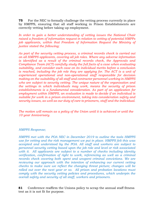**75** For the NEC to formally challenge the vetting process currently in place by HMPPS, ensuring that all staff working in Prison Establishments are correctly vetting before taking up employment.

*In order to gain a better understanding of vetting issues the National Chair raised a freedom of information request in relation to vetting of potential HMPPs job applicants, within that Freedom of Information Request the Ministry of justice stated the following;*

*As part of the security vetting process, a criminal records check is carried out on all HMPPS applicants, covering all job roles. Where any adverse information is identified as a result of the criminal records check, the Approvals and Compliance Team (ACT) carefully study the full facts of a case when evaluating suitability, and consider each case on its individual merits before a conclusion is reached, including the job role they are applying for. The ACT is a unit of experienced operational and non-operational staff responsible for decision making on the suitability of all staff and contractor personnel working in HMPPS who are subject to security vetting. The unique nature of the organisation and the settings in which individuals may work, means the security of prison establishments is a fundamental consideration. As part of an application for employment within HMPPS, an evaluation is made to decide if an individual is suitable for work in a prison environment, taking into consideration safety and security issues, as well as our duty of care to prisoners, staff and the individual.* 

*The motion will remain as a policy of the Union until it is achieved or until the 10 year Anniversary.* 

### *HMPPS Response;*

*HMPPS met with the POA NEC in December 2019 to outline the tools HMPPS use for vetting and the risk management we put in place. HMPPS felt this was accepted and understood by the POA. All staff and workers are subject to personnel security vetting based upon the job role and level or risk associated*  with it. All applicants are subject to a number of checks including identity *verification, confirmation of right to work, referencing as well as a criminal records check covering both spent and unspent criminal convictions. We are reviewing our approach with the intention of enhancing our current vetting checks to make sure we reflect the changing threat picture; changes will be rolled out over the next year or so. All prison and probation locations must comply with the security vetting policies and procedures, which underpin the overall safety and security of all staff, workers and prisoners.*

**81** Conference reaffirm the Unions policy to scrap the annual staff fitness test as it is not fit for purpose.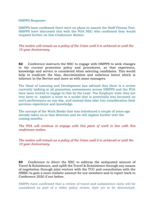HMPPS Response:

HMPPS have confirmed there were no plans to amend the Staff Fitness Test. HMPPS have discussed this with the POA NEC who confirmed they would respond further on this Conference Motion.

*The motion will remain as a policy of the Union until it is achieved or until the 10 year Anniversary.* 

**82** Conference instructs the NEC to engage with HMPPS to seek changes to the current promotion policy and procedures, so that experience, knowledge and service is considered when selecting candidates. This would help to eradicate the bias, discrimination and nefarious intent which is inherent in the Service and more so with some managers.

The Head of Learning and Development has advised that there is a review currently looking at all promotion assessments across HMPPS and the POA have been invited to engage in this by the Lead. The Employer state they are very keen to explore a move to a model that is potentially less focussed on one's performance on one day, and instead does take into consideration their previous experience and knowledge.

The concept of the Work Books that was introduced a couple of years ago already takes us in that direction and we will explore further over the coming months.

*The POA will continue to engage with this piece of work in line with this conference motion.* 

*The motion will remain as a policy of the Union until it is achieved or until the 10 year Anniversary.* 

**83** Conference to direct the NEC to address the antiquated amount of Travel & Subsistence, and uplift the Travel & Subsistence through any means of negotiation through joint venture with the TUC and consultation with the HMRC to gain a more realistic amount for our members and to report back to Conference 2020 if not before.

HMPPs have confirmed that a review of travel and subsistence rates will be considered as part of a wider policy review, date yet to be determined.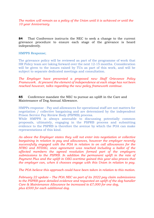*The motion will remain as a policy of the Union until it is achieved or until the 10 year Anniversary.* 

**84** That Conference instructs the NEC to seek a change to the current grievance procedure to ensure each stage of the grievance is heard independently.

# HMPPS Response;

The grievance policy will be reviewed as part of the programme of work that HR Policy team are taking forward over the next 12-15 months. Consideration will be given to the issues raised by TUs as part of this work, and will be subject to separate dedicated meetings and consultation.

*The Employer have presented a proposed new Staff Grievance Policy Framework. At present the element of independence at each stage has not been reached however, talks regarding the new policy framework continue.*

# **85** Conference mandate the NEC to pursue an uplift in the Care and Maintenance of Dog Annual Allowance.

HMPPs response - Pay and allowances for operational staff are not matters for negotiation / collective bargaining and are determined by the independent Prison Service Pay Review Body (PSPRB) process.

While HMPPS is always amenable to discussing potentially common proposals, ultimately, engaging in the PSPRB process and submitting evidence to the PSPRB is therefore the avenue by which the POA can make representations of this kind.

*As above the Employer states they will not enter into negotiation or collective bargaining in relation to pay and allowances, however the employer recently successfully engaged with the POA in relation to on call allowances for the NTRG and NTDSG, once agreement was reached including a ballot of the affected members the agreed resolution formed part of the employers submissions to the PSPRB. In addition the permanent uplift in the rate of Payment Plus and the uplift in OSG overtime gained this year also proves that the employer can, when it chooses engage with this Union in relation to pay.*

*The POA believe this approach could have been taken in relation to this motion.* 

*February 22 update – The POA NEC as part of its 2022 pay claim submissions to the PSPRB gave detailed evidence and requested an uplift of the dog handler Care & Maintenance Allowance be increased to £7,000 for one dog, plus £500 for each additional dog.*